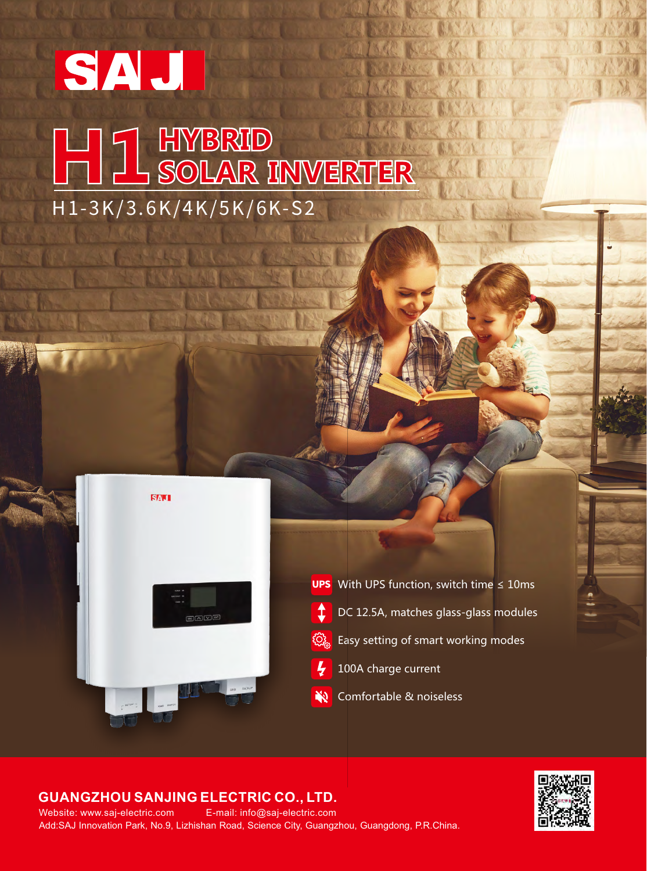## SAJ **THE THE HATBRID<br>THE SOLAR INVERTER** H 1 - 3K / 3. 6K / 4K / 5K / 6K-S 2



**UPS** With UPS function, switch time  $\leq 10$ ms  $\hat{I}$ DC 12.5A, matches glass-glass modules  $\ddot{\mathbb{Q}}$  Easy setting of smart working modes  $\frac{1}{2}$ 100A charge current Comfortable & noiseless20

## **GUANGZHOU SANJING ELECTRIC CO., LTD.**

Add:SAJ Innovation Park, No.9, Lizhishan Road, Science City, Guangzhou, Guangdong, P.R.China. Website: www.saj-electric.com E-mail: info@saj-electric.com